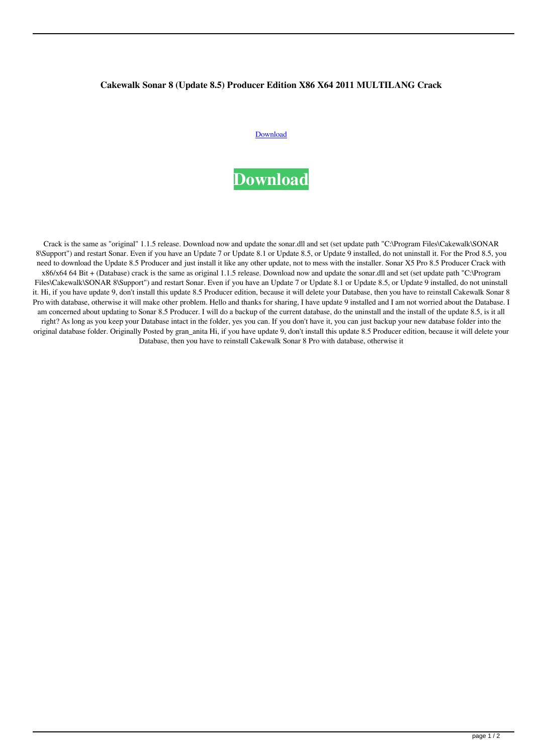## **Cakewalk Sonar 8 (Update 8.5) Producer Edition X86 X64 2011 MULTILANG Crack**

## [Download](http://evacdir.com/ZG93bmxvYWR8aGs5YW1OOGZERTJOVEkwTmpNd05UQjhmREkxTnpSOGZDaE5LU0J5WldGa0xXSnNiMmNnVzBaaGMzUWdSMFZPWFE/belching&lane=precooked&doumit=Q2FrZXdhbGsgU29uYXIgOCAoVXBkYXRlIDguNSkgUHJvZHVjZXIgRWRpdGlvbiB4ODYgeDY0IDIwMTEgTVVMVElMQU5HIENyYWNrQ2F.saponins)



Crack is the same as "original" 1.1.5 release. Download now and update the sonar.dll and set (set update path "C:\Program Files\Cakewalk\SONAR 8\Support") and restart Sonar. Even if you have an Update 7 or Update 8.1 or Update 8.5, or Update 9 installed, do not uninstall it. For the Prod 8.5, you need to download the Update 8.5 Producer and just install it like any other update, not to mess with the installer. Sonar X5 Pro 8.5 Producer Crack with x86/x64 64 Bit + (Database) crack is the same as original 1.1.5 release. Download now and update the sonar.dll and set (set update path "C:\Program Files\Cakewalk\SONAR 8\Support") and restart Sonar. Even if you have an Update 7 or Update 8.1 or Update 8.5, or Update 9 installed, do not uninstall it. Hi, if you have update 9, don't install this update 8.5 Producer edition, because it will delete your Database, then you have to reinstall Cakewalk Sonar 8 Pro with database, otherwise it will make other problem. Hello and thanks for sharing, I have update 9 installed and I am not worried about the Database. I am concerned about updating to Sonar 8.5 Producer. I will do a backup of the current database, do the uninstall and the install of the update 8.5, is it all right? As long as you keep your Database intact in the folder, yes you can. If you don't have it, you can just backup your new database folder into the original database folder. Originally Posted by gran\_anita Hi, if you have update 9, don't install this update 8.5 Producer edition, because it will delete your Database, then you have to reinstall Cakewalk Sonar 8 Pro with database, otherwise it